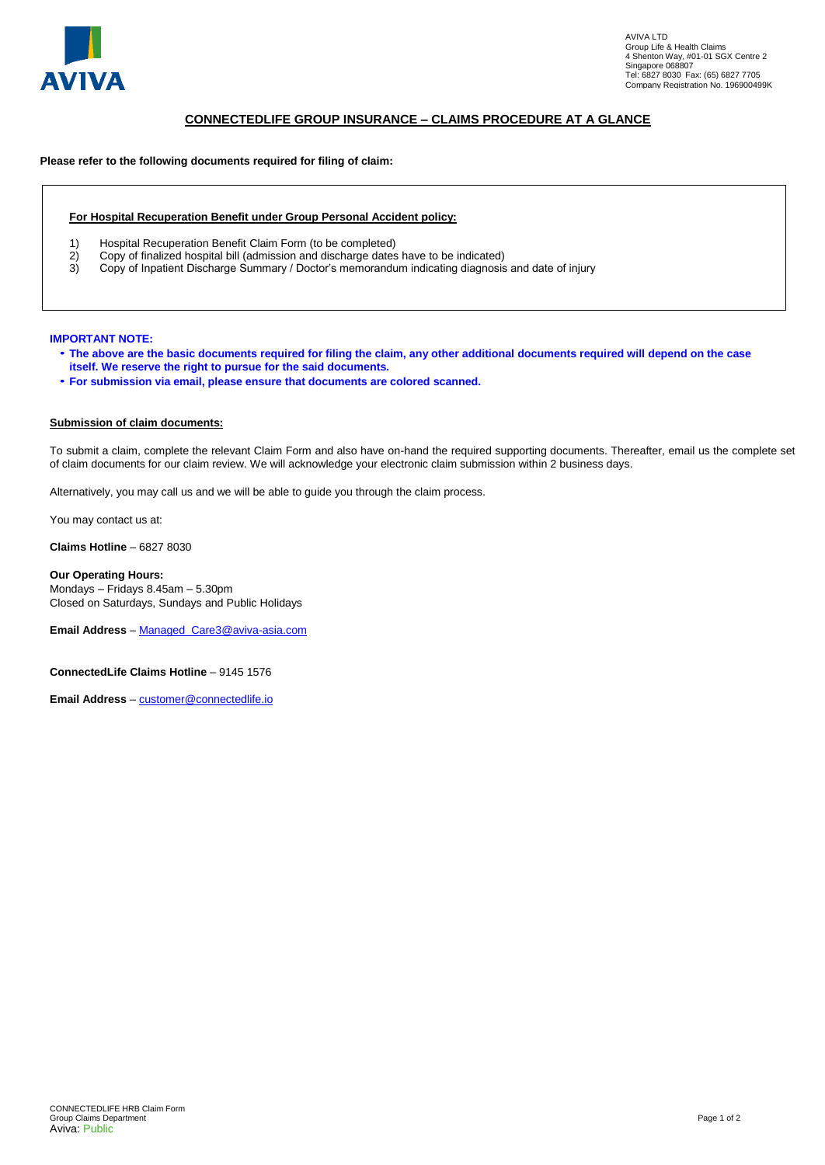

# **CONNECTEDLIFE GROUP INSURANCE – CLAIMS PROCEDURE AT A GLANCE**

## **Please refer to the following documents required for filing of claim:**

#### **For Hospital Recuperation Benefit under Group Personal Accident policy:**

- 1) Hospital Recuperation Benefit Claim Form (to be completed)<br>2) Copy of finalized hospital bill (admission and discharge dates
- 2) Copy of finalized hospital bill (admission and discharge dates have to be indicated)<br>3) Copy of Inpatient Discharge Summary / Doctor's memorandum indicating diagnosis
- 3) Copy of Inpatient Discharge Summary / Doctor's memorandum indicating diagnosis and date of injury

#### **IMPORTANT NOTE:**

- **The above are the basic documents required for filing the claim, any other additional documents required will depend on the case itself. We reserve the right to pursue for the said documents.**
- **For submission via email, please ensure that documents are colored scanned.**

#### **Submission of claim documents:**

To submit a claim, complete the relevant Claim Form and also have on-hand the required supporting documents. Thereafter, email us the complete set of claim documents for our claim review. We will acknowledge your electronic claim submission within 2 business days.

Alternatively, you may call us and we will be able to guide you through the claim process.

You may contact us at:

**Claims Hotline** – 6827 8030

**Our Operating Hours:**  Mondays – Fridays 8.45am – 5.30pm Closed on Saturdays, Sundays and Public Holidays

**Email Address** – [Managed\\_Care3@aviva-asia.com](mailto:Managed_Care3@aviva-asia.com)

**ConnectedLife Claims Hotline** – 9145 1576

**Email Address** – [customer@connectedlife.io](mailto:customer@connectedlife.io)